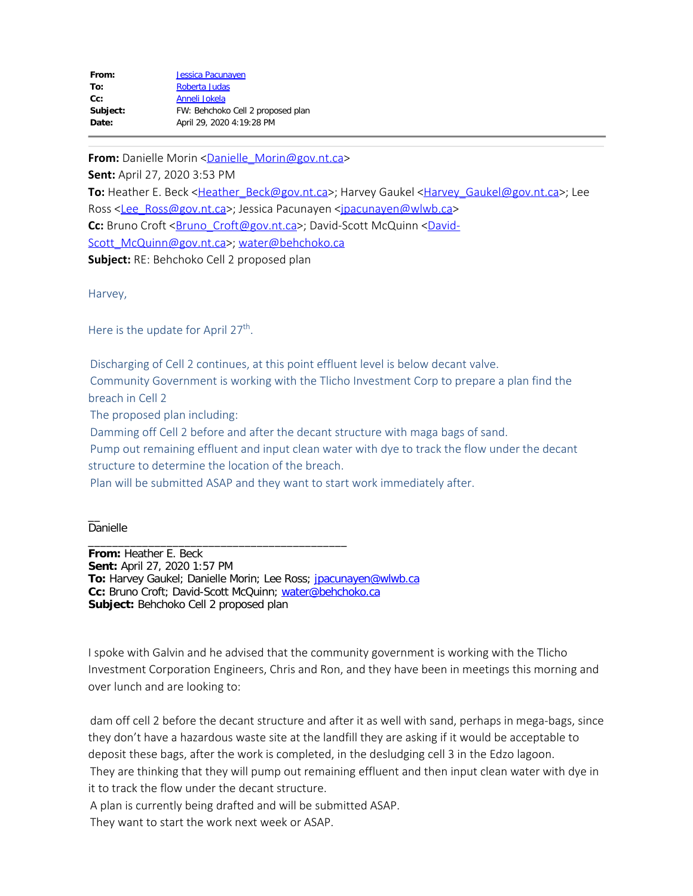| From:    | <b>Jessica Pacunayen</b>          |
|----------|-----------------------------------|
| To:      | Roberta Judas                     |
| $Cc$ :   | Anneli Jokela                     |
| Subject: | FW: Behchoko Cell 2 proposed plan |
| Date:    | April 29, 2020 4:19:28 PM         |
|          |                                   |

**From:** Danielle Morin [<Danielle\\_Morin@gov.nt.ca](mailto:Danielle_Morin@gov.nt.ca)>

**Sent:** April 27, 2020 3:53 PM

To: Heather E. Beck <[Heather\\_Beck@gov.nt.ca>](mailto:Heather_Beck@gov.nt.ca); Harvey Gaukel [<Harvey\\_Gaukel@gov.nt.ca](mailto:Harvey_Gaukel@gov.nt.ca)>; Lee Ross <[Lee\\_Ross@gov.nt.ca>](mailto:Lee_Ross@gov.nt.ca); Jessica Pacunayen [<jpacunayen@wlwb.ca](mailto:jpacunayen@wlwb.ca)> C: Bruno Croft < Bruno Croft@gov.nt.ca>; David-Scott McQuinn < David-[Scott\\_McQuinn@gov.nt.ca>](mailto:David-Scott_McQuinn@gov.nt.ca); [water@behchoko.ca](mailto:water@behchoko.ca) **Subject:** RE: Behchoko Cell 2 proposed plan

Harvey,

Here is the update for April 27<sup>th</sup>.

 Discharging of Cell 2 continues, at this point effluent level is below decant valve. Community Government is working with the Tlicho Investment Corp to prepare a plan find the breach in Cell 2

The proposed plan including:

Damming off Cell 2 before and after the decant structure with maga bags of sand.

 Pump out remaining effluent and input clean water with dye to track the flow under the decant structure to determine the location of the breach.

Plan will be submitted ASAP and they want to start work immediately after.

 $\overline{\phantom{0}}$ Danielle

**From:** Heather E. Beck **Sent:** April 27, 2020 1:57 PM To: Harvey Gaukel; Danielle Morin; Lee Ross; [jpacunayen@wlwb.ca](mailto:jpacunayen@wlwb.ca) **Cc:** Bruno Croft; David-Scott McQuinn; [water@behchoko.ca](mailto:water@behchoko.ca) **Subject:** Behchoko Cell 2 proposed plan

\_\_\_\_\_\_\_\_\_\_\_\_\_\_\_\_\_\_\_\_\_\_\_\_\_\_\_\_\_\_\_\_\_\_\_\_\_\_\_\_\_\_\_

I spoke with Galvin and he advised that the community government is working with the Tlicho Investment Corporation Engineers, Chris and Ron, and they have been in meetings this morning and over lunch and are looking to:

 dam off cell 2 before the decant structure and after it as well with sand, perhaps in mega-bags, since they don't have a hazardous waste site at the landfill they are asking if it would be acceptable to deposit these bags, after the work is completed, in the desludging cell 3 in the Edzo lagoon.

 They are thinking that they will pump out remaining effluent and then input clean water with dye in it to track the flow under the decant structure.

A plan is currently being drafted and will be submitted ASAP.

They want to start the work next week or ASAP.